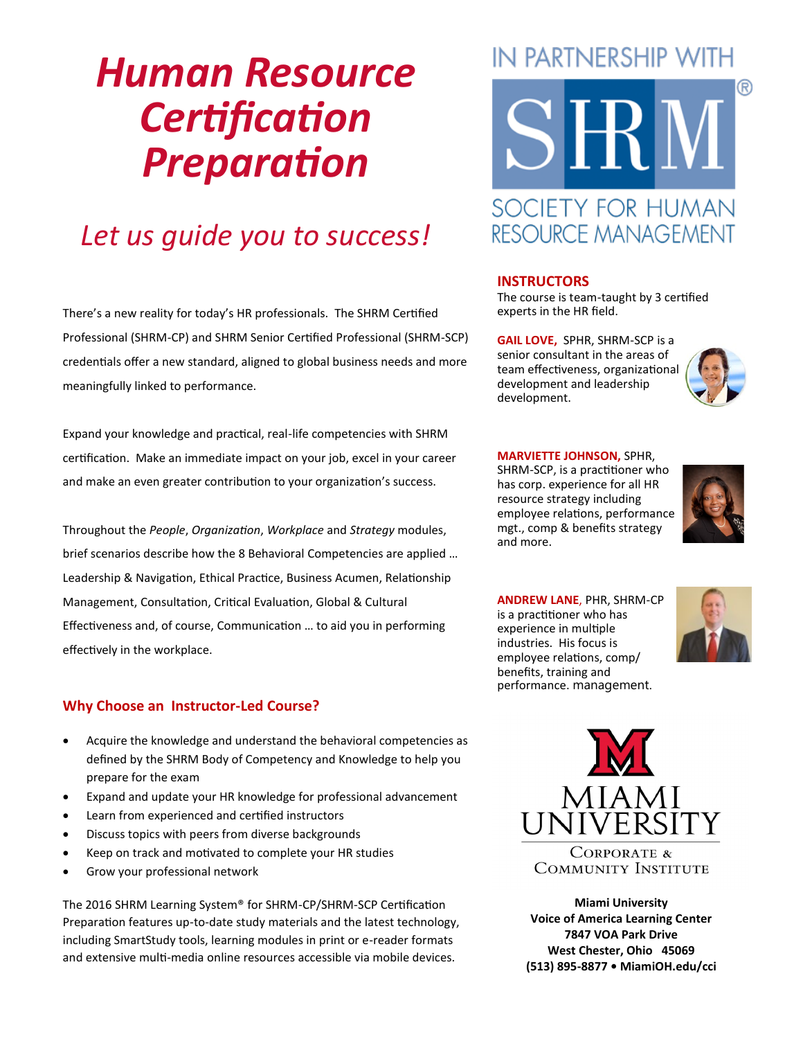# *Human Resource Certification Preparation*

# *Let us guide you to success!*

There's a new reality for today's HR professionals. The SHRM Certified Professional (SHRM-CP) and SHRM Senior Certified Professional (SHRM-SCP) credentials offer a new standard, aligned to global business needs and more meaningfully linked to performance.

Expand your knowledge and practical, real-life competencies with SHRM certification. Make an immediate impact on your job, excel in your career and make an even greater contribution to your organization's success.

Throughout the *People*, *Organization*, *Workplace* and *Strategy* modules, brief scenarios describe how the 8 Behavioral Competencies are applied … Leadership & Navigation, Ethical Practice, Business Acumen, Relationship Management, Consultation, Critical Evaluation, Global & Cultural Effectiveness and, of course, Communication … to aid you in performing effectively in the workplace.

#### **Why Choose an Instructor-Led Course?**

- Acquire the knowledge and understand the behavioral competencies as defined by the SHRM Body of Competency and Knowledge to help you prepare for the exam
- Expand and update your HR knowledge for professional advancement
- Learn from experienced and certified instructors
- Discuss topics with peers from diverse backgrounds
- Keep on track and motivated to complete your HR studies
- Grow your professional network

The 2016 SHRM Learning System® for SHRM-CP/SHRM-SCP Certification Preparation features up-to-date study materials and the latest technology, including SmartStudy tools, learning modules in print or e-reader formats and extensive multi-media online resources accessible via mobile devices.

# **IN PARTNERSHIP WITH**



# **RESOURCE MANAGEMENT**

#### **INSTRUCTORS**

The course is team-taught by 3 certified experts in the HR field.

**GAIL LOVE,** SPHR, SHRM-SCP is a senior consultant in the areas of team effectiveness, organizational development and leadership development.



#### **MARVIETTE JOHNSON,** SPHR,

SHRM-SCP, is a practitioner who has corp. experience for all HR resource strategy including employee relations, performance mgt., comp & benefits strategy and more.



**ANDREW LANE**, PHR, SHRM-CP is a practitioner who has experience in multiple industries. His focus is employee relations, comp/ benefits, training and performance. management.





**COMMUNITY INSTITUTE** 

**Miami University Voice of America Learning Center 7847 VOA Park Drive West Chester, Ohio 45069 (513) 895-8877 • MiamiOH.edu/cci**